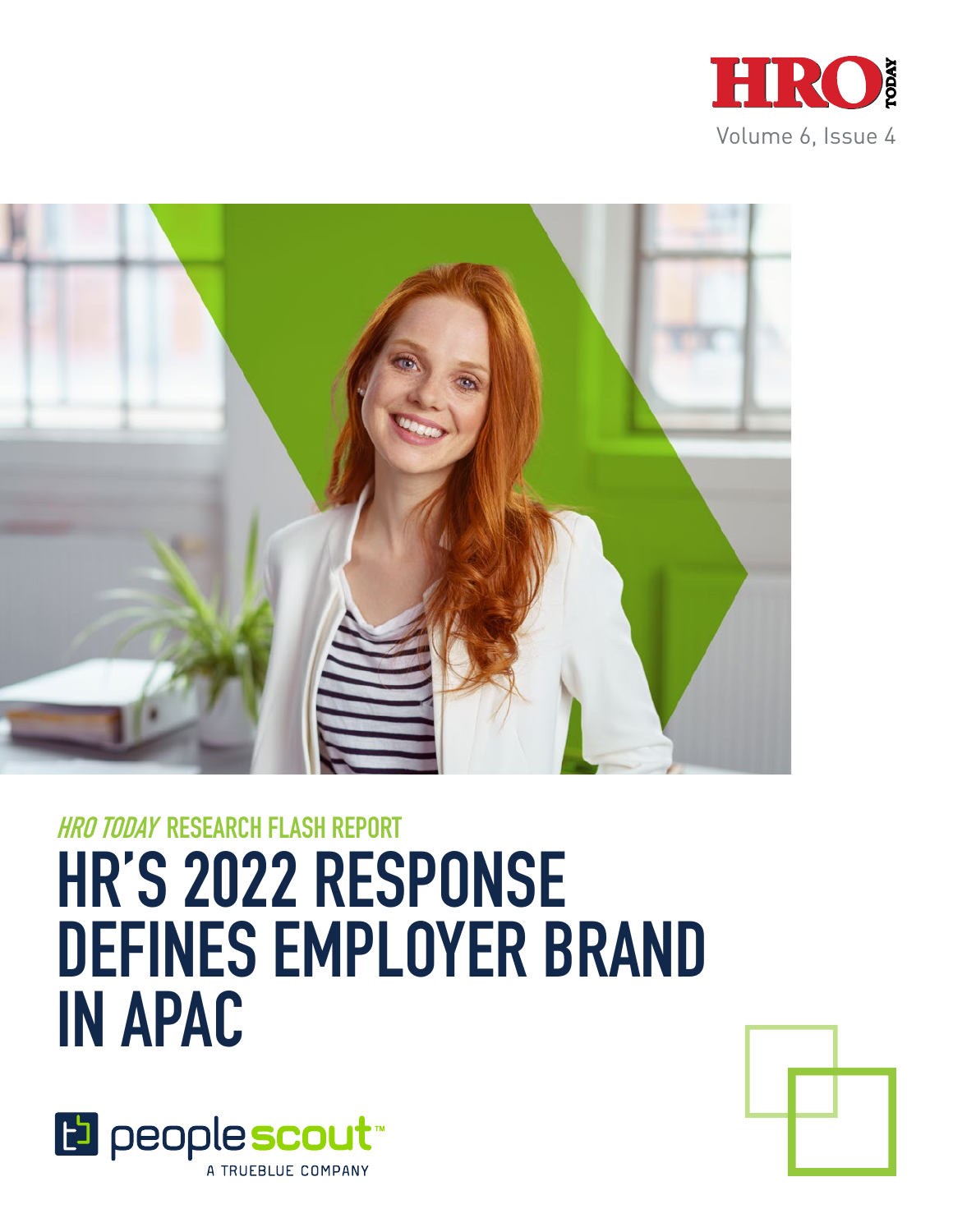



# **HRO TODAY RESEARCH FLASH REPORT HR'S 2022 RESPONSE DEFINES EMPLOYER BRAND IN APAC**



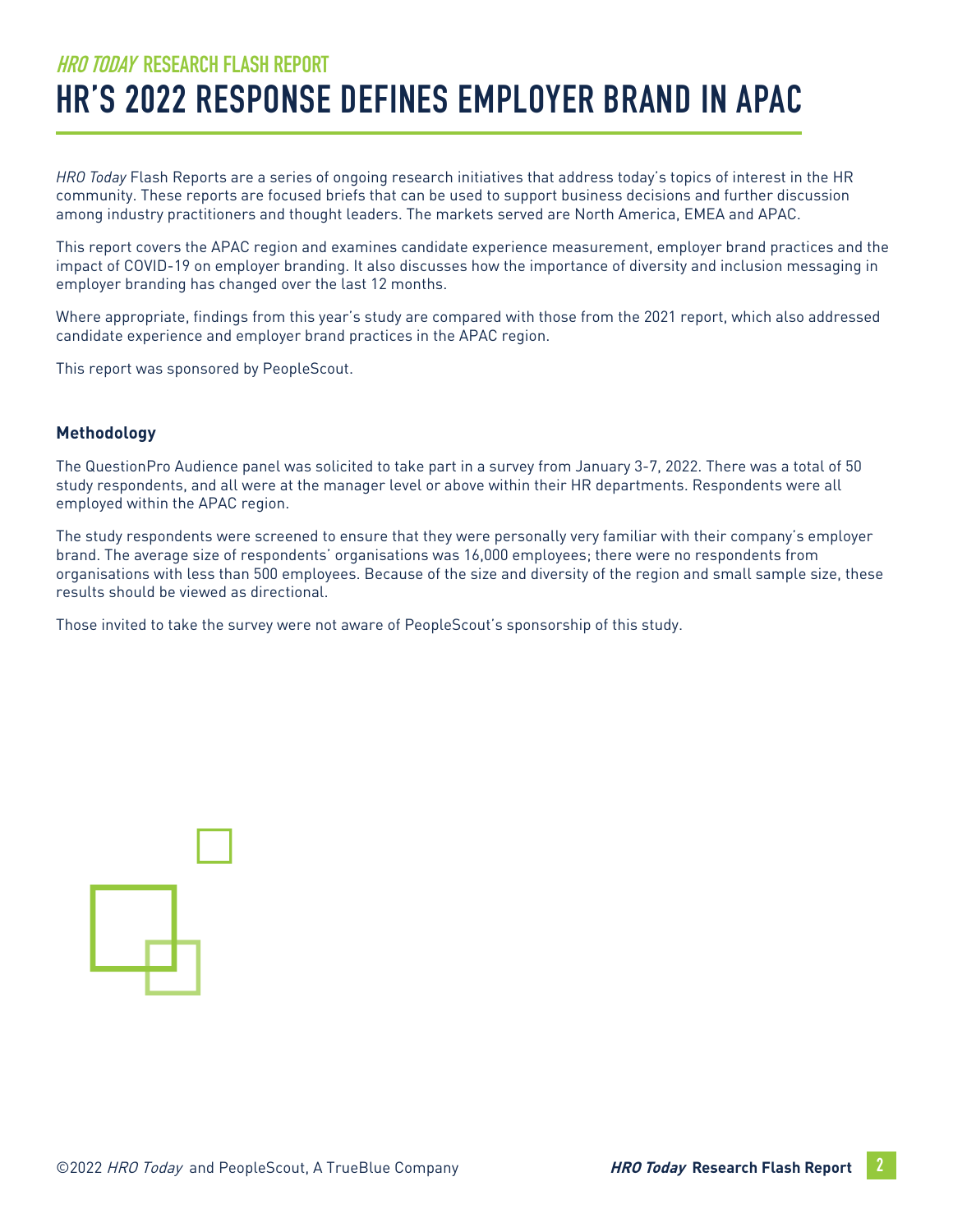# **HRO TODAY RESEARCH FLASH REPORT HR'S 2022 RESPONSE DEFINES EMPLOYER BRAND IN APAC**

*HRO Today* Flash Reports are a series of ongoing research initiatives that address today's topics of interest in the HR community. These reports are focused briefs that can be used to support business decisions and further discussion among industry practitioners and thought leaders. The markets served are North America, EMEA and APAC.

This report covers the APAC region and examines candidate experience measurement, employer brand practices and the impact of COVID-19 on employer branding. It also discusses how the importance of diversity and inclusion messaging in employer branding has changed over the last 12 months.

Where appropriate, findings from this year's study are compared with those from the 2021 report, which also addressed candidate experience and employer brand practices in the APAC region.

This report was sponsored by PeopleScout.

#### **Methodology**

The QuestionPro Audience panel was solicited to take part in a survey from January 3-7, 2022. There was a total of 50 study respondents, and all were at the manager level or above within their HR departments. Respondents were all employed within the APAC region.

The study respondents were screened to ensure that they were personally very familiar with their company's employer brand. The average size of respondents' organisations was 16,000 employees; there were no respondents from organisations with less than 500 employees. Because of the size and diversity of the region and small sample size, these results should be viewed as directional.

Those invited to take the survey were not aware of PeopleScout's sponsorship of this study.

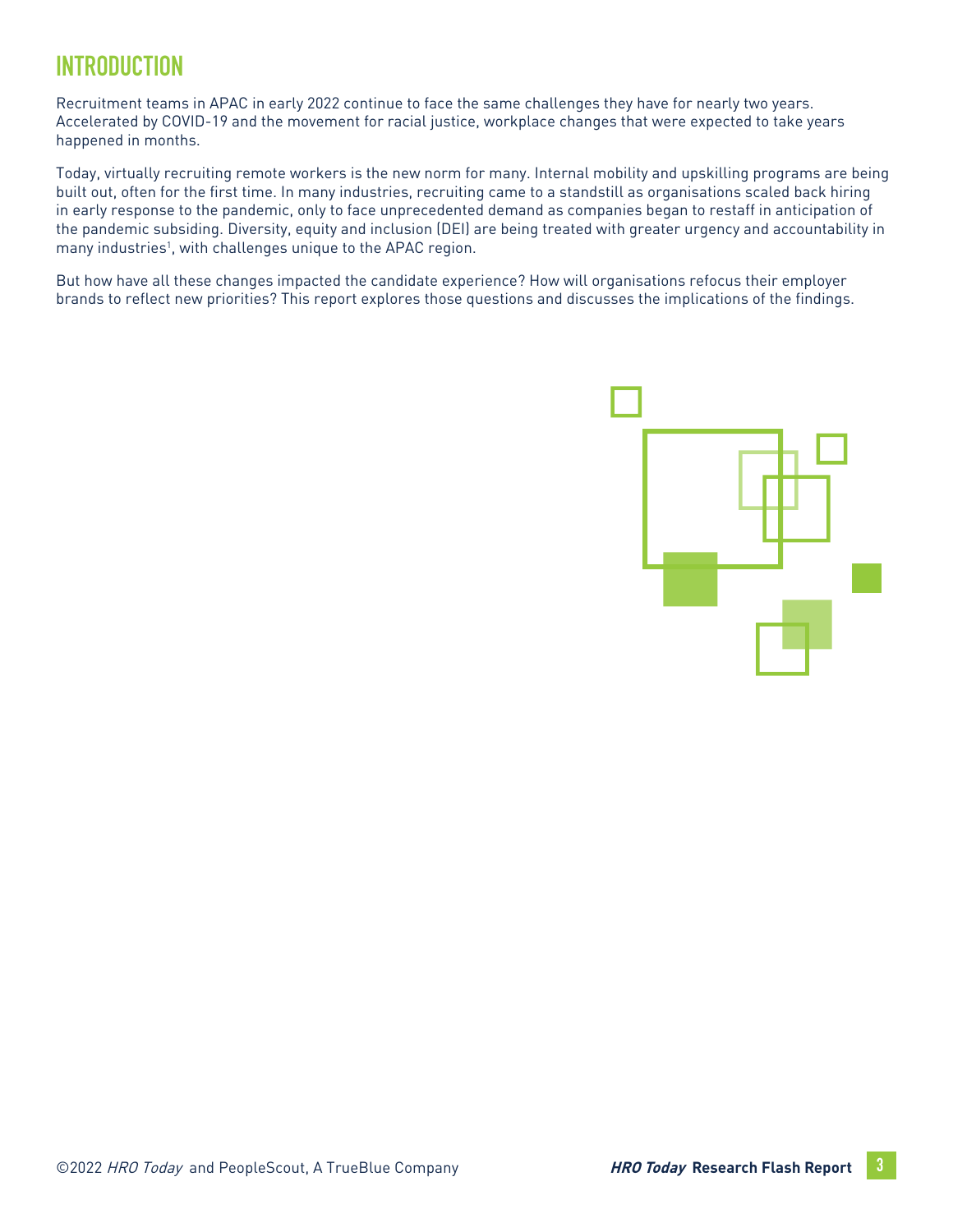# **INTRODUCTION**

Recruitment teams in APAC in early 2022 continue to face the same challenges they have for nearly two years. Accelerated by COVID-19 and the movement for racial justice, workplace changes that were expected to take years happened in months.

Today, virtually recruiting remote workers is the new norm for many. Internal mobility and upskilling programs are being built out, often for the first time. In many industries, recruiting came to a standstill as organisations scaled back hiring in early response to the pandemic, only to face unprecedented demand as companies began to restaff in anticipation of the pandemic subsiding. Diversity, equity and inclusion (DEI) are being treated with greater urgency and accountability in many industries<sup>1</sup>, with challenges unique to the APAC region.

But how have all these changes impacted the candidate experience? How will organisations refocus their employer brands to reflect new priorities? This report explores those questions and discusses the implications of the findings.

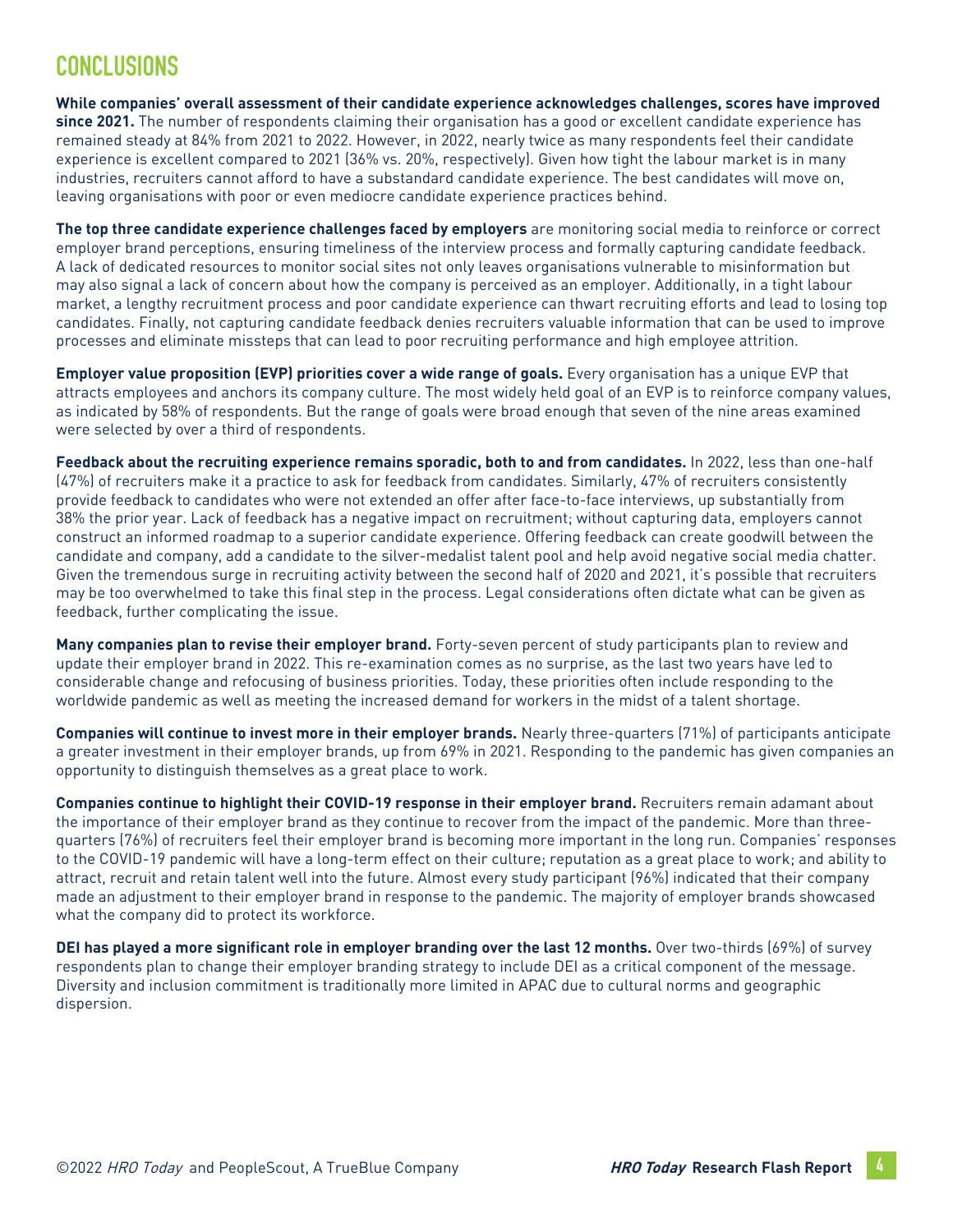### **CONCLUSIONS**

**While companies' overall assessment of their candidate experience acknowledges challenges, scores have improved since 2021.** The number of respondents claiming their organisation has a good or excellent candidate experience has remained steady at 84% from 2021 to 2022. However, in 2022, nearly twice as many respondents feel their candidate experience is excellent compared to 2021 (36% vs. 20%, respectively). Given how tight the labour market is in many industries, recruiters cannot afford to have a substandard candidate experience. The best candidates will move on, leaving organisations with poor or even mediocre candidate experience practices behind.

**The top three candidate experience challenges faced by employers** are monitoring social media to reinforce or correct employer brand perceptions, ensuring timeliness of the interview process and formally capturing candidate feedback. A lack of dedicated resources to monitor social sites not only leaves organisations vulnerable to misinformation but may also signal a lack of concern about how the company is perceived as an employer. Additionally, in a tight labour market, a lengthy recruitment process and poor candidate experience can thwart recruiting efforts and lead to losing top candidates. Finally, not capturing candidate feedback denies recruiters valuable information that can be used to improve processes and eliminate missteps that can lead to poor recruiting performance and high employee attrition.

**Employer value proposition (EVP) priorities cover a wide range of goals.** Every organisation has a unique EVP that attracts employees and anchors its company culture. The most widely held goal of an EVP is to reinforce company values, as indicated by 58% of respondents. But the range of goals were broad enough that seven of the nine areas examined were selected by over a third of respondents.

**Feedback about the recruiting experience remains sporadic, both to and from candidates.** In 2022, less than one-half (47%) of recruiters make it a practice to ask for feedback from candidates. Similarly, 47% of recruiters consistently provide feedback to candidates who were not extended an offer after face-to-face interviews, up substantially from 38% the prior year. Lack of feedback has a negative impact on recruitment; without capturing data, employers cannot construct an informed roadmap to a superior candidate experience. Offering feedback can create goodwill between the candidate and company, add a candidate to the silver-medalist talent pool and help avoid negative social media chatter. Given the tremendous surge in recruiting activity between the second half of 2020 and 2021, it's possible that recruiters may be too overwhelmed to take this final step in the process. Legal considerations often dictate what can be given as feedback, further complicating the issue.

**Many companies plan to revise their employer brand.** Forty-seven percent of study participants plan to review and update their employer brand in 2022. This re-examination comes as no surprise, as the last two years have led to considerable change and refocusing of business priorities. Today, these priorities often include responding to the worldwide pandemic as well as meeting the increased demand for workers in the midst of a talent shortage.

**Companies will continue to invest more in their employer brands.** Nearly three-quarters (71%) of participants anticipate a greater investment in their employer brands, up from 69% in 2021. Responding to the pandemic has given companies an opportunity to distinguish themselves as a great place to work.

**Companies continue to highlight their COVID-19 response in their employer brand.** Recruiters remain adamant about the importance of their employer brand as they continue to recover from the impact of the pandemic. More than threequarters (76%) of recruiters feel their employer brand is becoming more important in the long run. Companies' responses to the COVID-19 pandemic will have a long-term effect on their culture; reputation as a great place to work; and ability to attract, recruit and retain talent well into the future. Almost every study participant (96%) indicated that their company made an adjustment to their employer brand in response to the pandemic. The majority of employer brands showcased what the company did to protect its workforce.

**DEI has played a more significant role in employer branding over the last 12 months.** Over two-thirds (69%) of survey respondents plan to change their employer branding strategy to include DEI as a critical component of the message. Diversity and inclusion commitment is traditionally more limited in APAC due to cultural norms and geographic dispersion.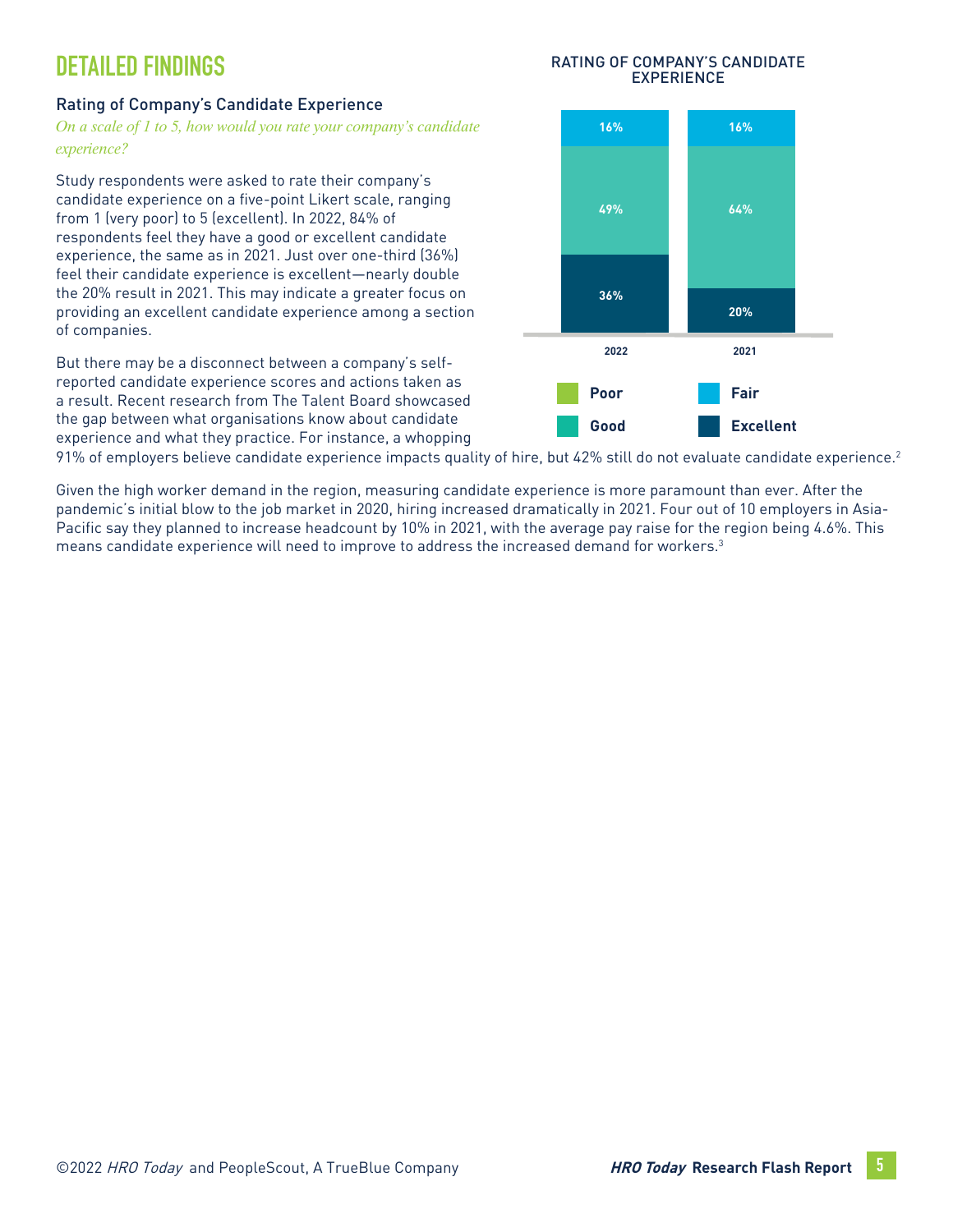# **DETAILED FINDINGS**

#### Rating of Company's Candidate Experience

*On a scale of 1 to 5, how would you rate your company's candidate experience?*

Study respondents were asked to rate their company's candidate experience on a five-point Likert scale, ranging from 1 (very poor) to 5 (excellent). In 2022, 84% of respondents feel they have a good or excellent candidate experience, the same as in 2021. Just over one-third (36%) feel their candidate experience is excellent—nearly double the 20% result in 2021. This may indicate a greater focus on providing an excellent candidate experience among a section of companies.

But there may be a disconnect between a company's selfreported candidate experience scores and actions taken as a result. Recent research from The Talent Board showcased the gap between what organisations know about candidate experience and what they practice. For instance, a whopping



91% of employers believe candidate experience impacts quality of hire, but 42% still do not evaluate candidate experience.<sup>2</sup>

Given the high worker demand in the region, measuring candidate experience is more paramount than ever. After the pandemic's initial blow to the job market in 2020, hiring increased dramatically in 2021. Four out of 10 employers in Asia-Pacific say they planned to increase headcount by 10% in 2021, with the average pay raise for the region being 4.6%. This means candidate experience will need to improve to address the increased demand for workers.3

#### RATING OF COMPANY'S CANDIDATE EXPERIENCE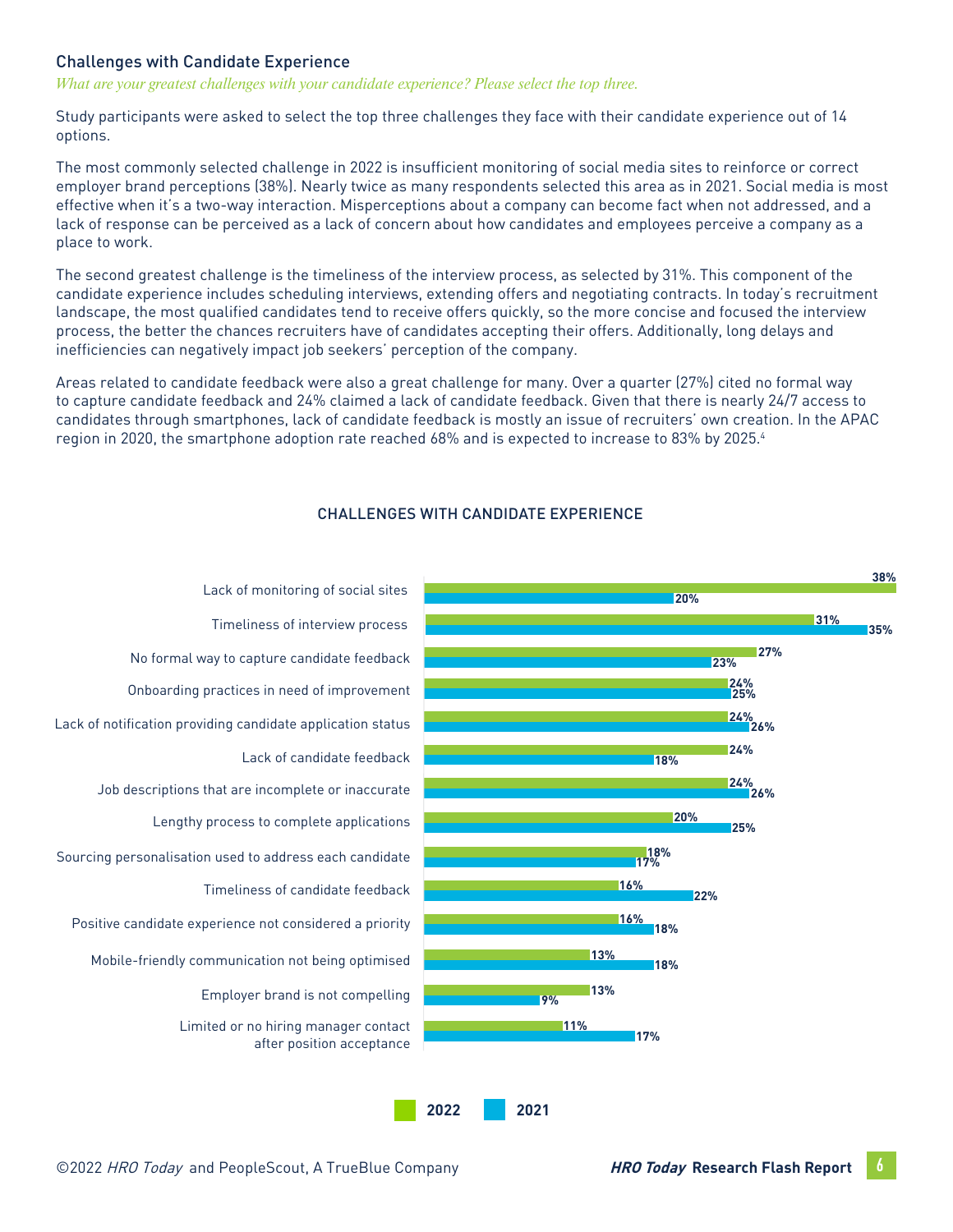#### Challenges with Candidate Experience

*What are your greatest challenges with your candidate experience? Please select the top three.* 

Study participants were asked to select the top three challenges they face with their candidate experience out of 14 options.

The most commonly selected challenge in 2022 is insufficient monitoring of social media sites to reinforce or correct employer brand perceptions (38%). Nearly twice as many respondents selected this area as in 2021. Social media is most effective when it's a two-way interaction. Misperceptions about a company can become fact when not addressed, and a lack of response can be perceived as a lack of concern about how candidates and employees perceive a company as a place to work.

The second greatest challenge is the timeliness of the interview process, as selected by 31%. This component of the candidate experience includes scheduling interviews, extending offers and negotiating contracts. In today's recruitment landscape, the most qualified candidates tend to receive offers quickly, so the more concise and focused the interview process, the better the chances recruiters have of candidates accepting their offers. Additionally, long delays and inefficiencies can negatively impact job seekers' perception of the company.

Areas related to candidate feedback were also a great challenge for many. Over a quarter (27%) cited no formal way to capture candidate feedback and 24% claimed a lack of candidate feedback. Given that there is nearly 24/7 access to candidates through smartphones, lack of candidate feedback is mostly an issue of recruiters' own creation. In the APAC region in 2020, the smartphone adoption rate reached 68% and is expected to increase to 83% by 2025.4



#### CHALLENGES WITH CANDIDATE EXPERIENCE

**2022 2021**

Onboarding practices in need of improvement Lack of notification providing candidate application status Lack of candidate feedback Job descriptions that are incomplete or inaccurate Lengthy process to complete applications Sourcing personalisation used to address each candidate Timeliness of candidate feedback Positive candidate experience not considered a priority Mobile-friendly communication not being optimised Employer brand is not compelling Limited or no hiring manager contact after position acceptance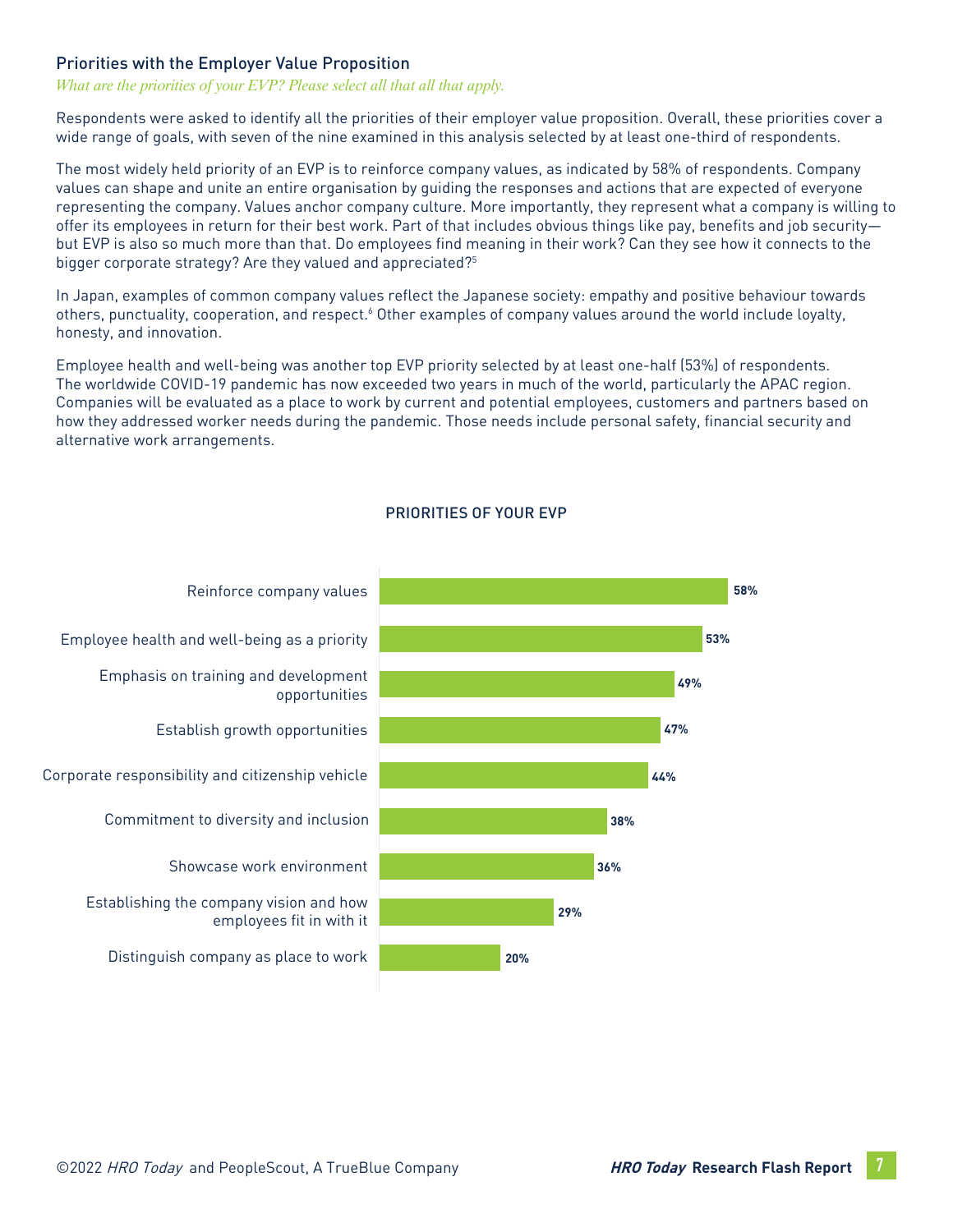#### Priorities with the Employer Value Proposition

#### *What are the priorities of your EVP? Please select all that all that apply.*

Respondents were asked to identify all the priorities of their employer value proposition. Overall, these priorities cover a wide range of goals, with seven of the nine examined in this analysis selected by at least one-third of respondents.

The most widely held priority of an EVP is to reinforce company values, as indicated by 58% of respondents. Company values can shape and unite an entire organisation by guiding the responses and actions that are expected of everyone representing the company. Values anchor company culture. More importantly, they represent what a company is willing to offer its employees in return for their best work. Part of that includes obvious things like pay, benefits and job security but EVP is also so much more than that. Do employees find meaning in their work? Can they see how it connects to the bigger corporate strategy? Are they valued and appreciated?<sup>5</sup>

In Japan, examples of common company values reflect the Japanese society: empathy and positive behaviour towards others, punctuality, cooperation, and respect.<sup>6</sup> Other examples of company values around the world include loyalty, honesty, and innovation.

Employee health and well-being was another top EVP priority selected by at least one-half (53%) of respondents. The worldwide COVID-19 pandemic has now exceeded two years in much of the world, particularly the APAC region. Companies will be evaluated as a place to work by current and potential employees, customers and partners based on how they addressed worker needs during the pandemic. Those needs include personal safety, financial security and alternative work arrangements.



#### PRIORITIES OF YOUR EVP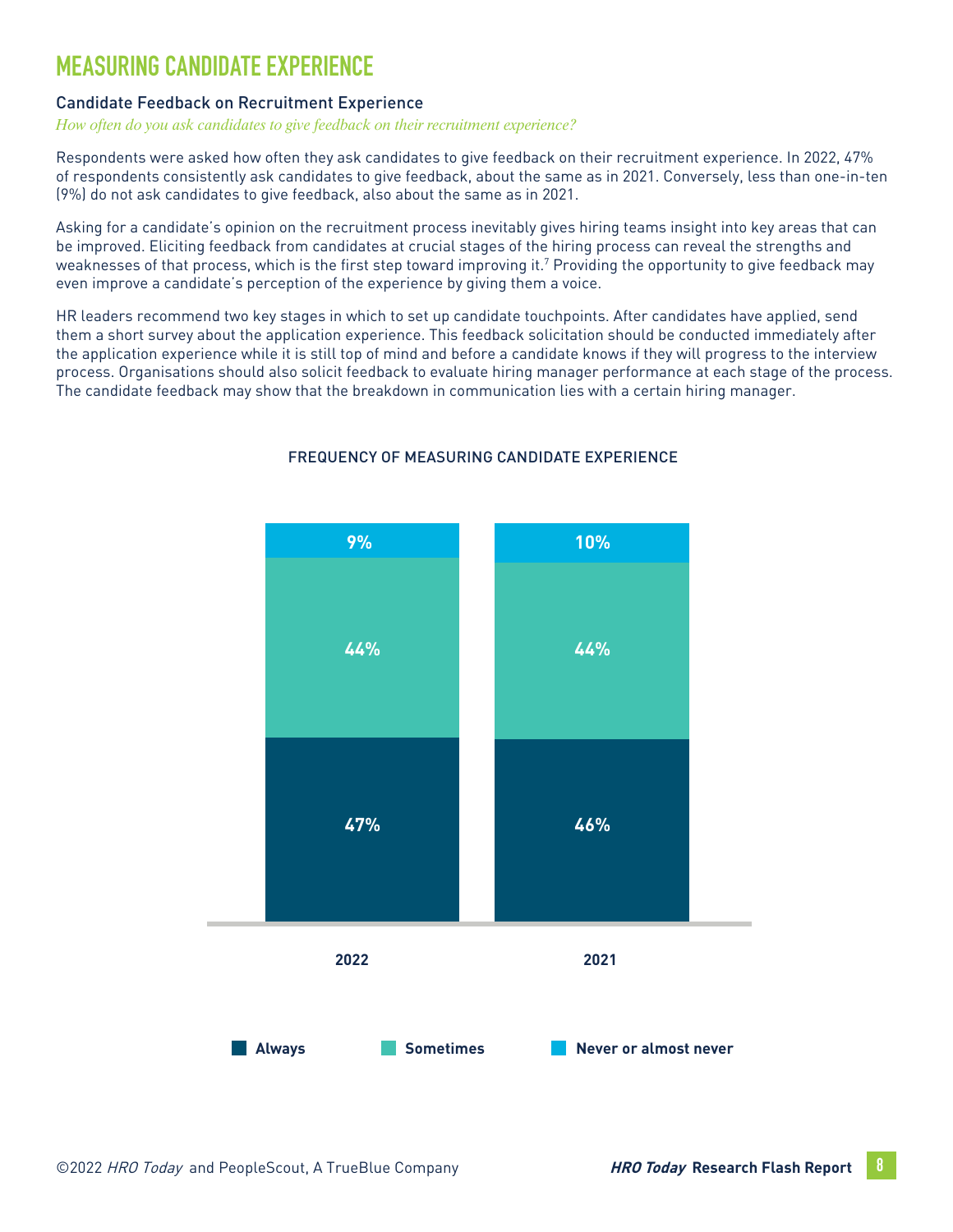# **MEASURING CANDIDATE EXPERIENCE**

#### Candidate Feedback on Recruitment Experience

#### *How often do you ask candidates to give feedback on their recruitment experience?*

Respondents were asked how often they ask candidates to give feedback on their recruitment experience. In 2022, 47% of respondents consistently ask candidates to give feedback, about the same as in 2021. Conversely, less than one-in-ten (9%) do not ask candidates to give feedback, also about the same as in 2021.

Asking for a candidate's opinion on the recruitment process inevitably gives hiring teams insight into key areas that can be improved. Eliciting feedback from candidates at crucial stages of the hiring process can reveal the strengths and weaknesses of that process, which is the first step toward improving it.7 Providing the opportunity to give feedback may even improve a candidate's perception of the experience by giving them a voice.

HR leaders recommend two key stages in which to set up candidate touchpoints. After candidates have applied, send them a short survey about the application experience. This feedback solicitation should be conducted immediately after the application experience while it is still top of mind and before a candidate knows if they will progress to the interview process. Organisations should also solicit feedback to evaluate hiring manager performance at each stage of the process. The candidate feedback may show that the breakdown in communication lies with a certain hiring manager.



#### FREQUENCY OF MEASURING CANDIDATE EXPERIENCE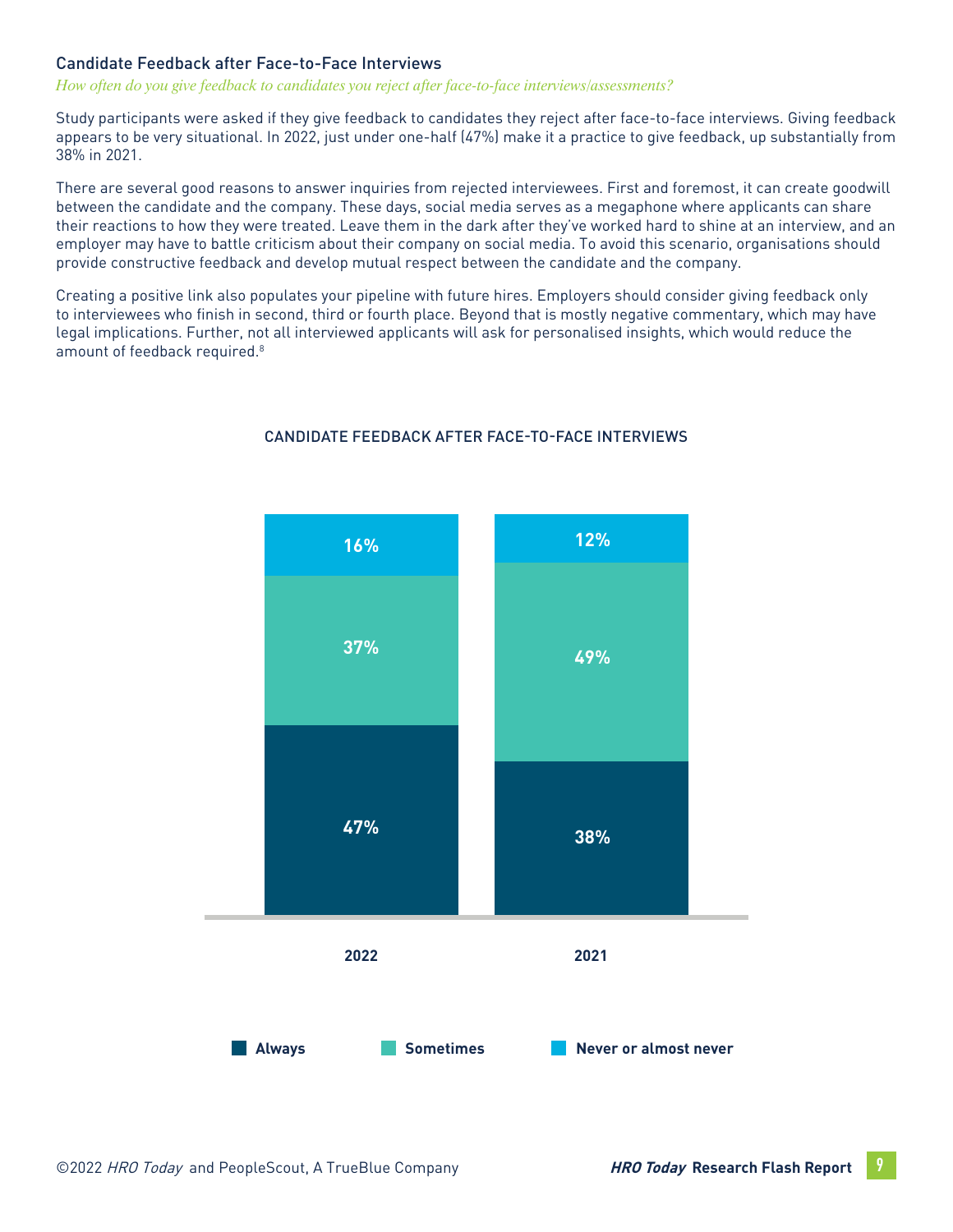#### Candidate Feedback after Face-to-Face Interviews

#### *How often do you give feedback to candidates you reject after face-to-face interviews/assessments?*

Study participants were asked if they give feedback to candidates they reject after face-to-face interviews. Giving feedback appears to be very situational. In 2022, just under one-half (47%) make it a practice to give feedback, up substantially from 38% in 2021.

There are several good reasons to answer inquiries from rejected interviewees. First and foremost, it can create goodwill between the candidate and the company. These days, social media serves as a megaphone where applicants can share their reactions to how they were treated. Leave them in the dark after they've worked hard to shine at an interview, and an employer may have to battle criticism about their company on social media. To avoid this scenario, organisations should provide constructive feedback and develop mutual respect between the candidate and the company.

Creating a positive link also populates your pipeline with future hires. Employers should consider giving feedback only to interviewees who finish in second, third or fourth place. Beyond that is mostly negative commentary, which may have legal implications. Further, not all interviewed applicants will ask for personalised insights, which would reduce the amount of feedback required.<sup>8</sup>



#### CANDIDATE FEEDBACK AFTER FACE-TO-FACE INTERVIEWS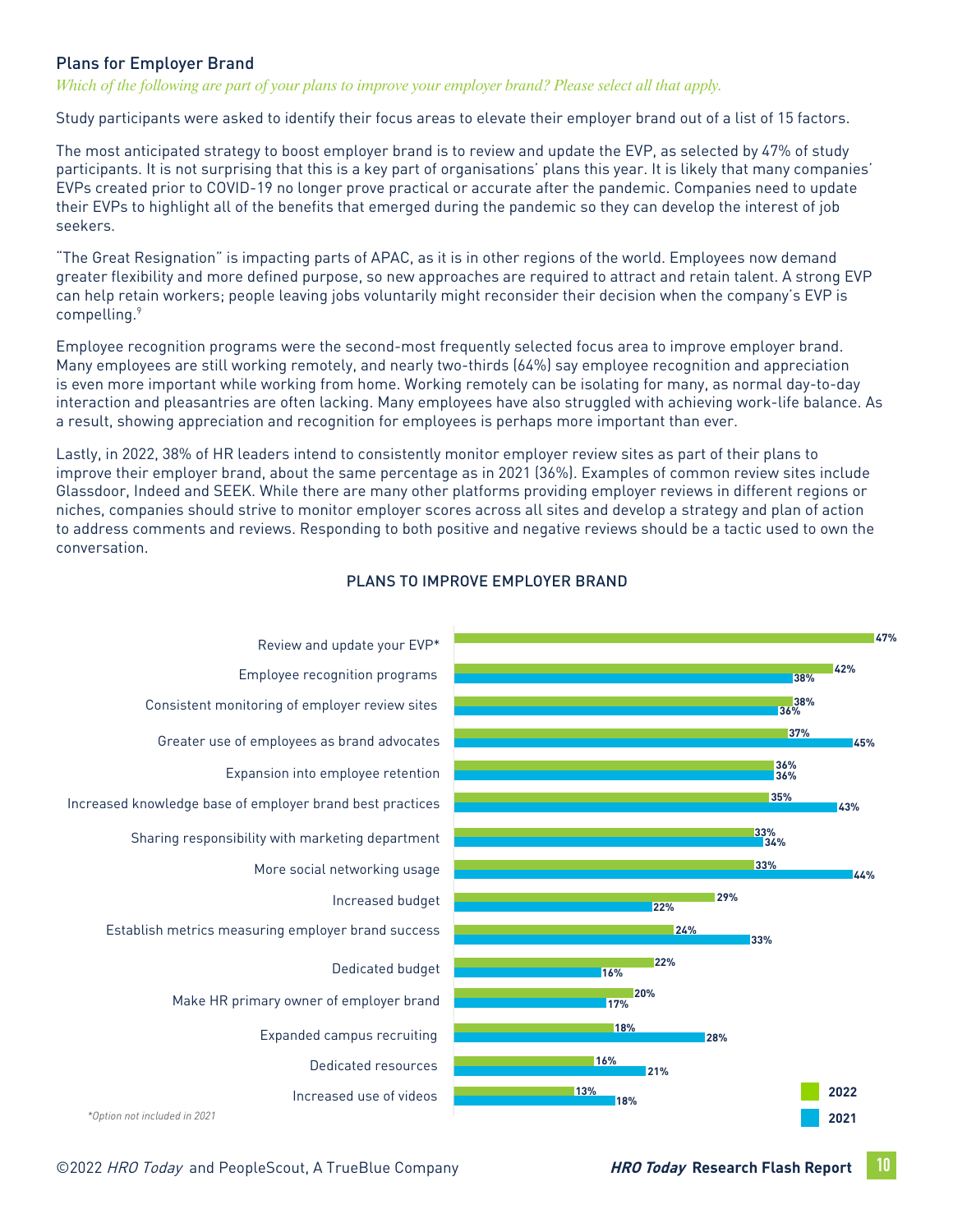#### Plans for Employer Brand

*Which of the following are part of your plans to improve your employer brand? Please select all that apply.* 

Study participants were asked to identify their focus areas to elevate their employer brand out of a list of 15 factors.

The most anticipated strategy to boost employer brand is to review and update the EVP, as selected by 47% of study participants. It is not surprising that this is a key part of organisations' plans this year. It is likely that many companies' EVPs created prior to COVID-19 no longer prove practical or accurate after the pandemic. Companies need to update their EVPs to highlight all of the benefits that emerged during the pandemic so they can develop the interest of job seekers.

"The Great Resignation" is impacting parts of APAC, as it is in other regions of the world. Employees now demand greater flexibility and more defined purpose, so new approaches are required to attract and retain talent. A strong EVP can help retain workers; people leaving jobs voluntarily might reconsider their decision when the company's EVP is compelling.9

Employee recognition programs were the second-most frequently selected focus area to improve employer brand. Many employees are still working remotely, and nearly two-thirds (64%) say employee recognition and appreciation is even more important while working from home. Working remotely can be isolating for many, as normal day-to-day interaction and pleasantries are often lacking. Many employees have also struggled with achieving work-life balance. As a result, showing appreciation and recognition for employees is perhaps more important than ever.

Lastly, in 2022, 38% of HR leaders intend to consistently monitor employer review sites as part of their plans to improve their employer brand, about the same percentage as in 2021 (36%). Examples of common review sites include Glassdoor, Indeed and SEEK. While there are many other platforms providing employer reviews in different regions or niches, companies should strive to monitor employer scores across all sites and develop a strategy and plan of action to address comments and reviews. Responding to both positive and negative reviews should be a tactic used to own the conversation.



#### PLANS TO IMPROVE EMPLOYER BRAND

©2022 HRO Today and PeopleScout, A TrueBlue Company **HRO Today Research Flash Report 10**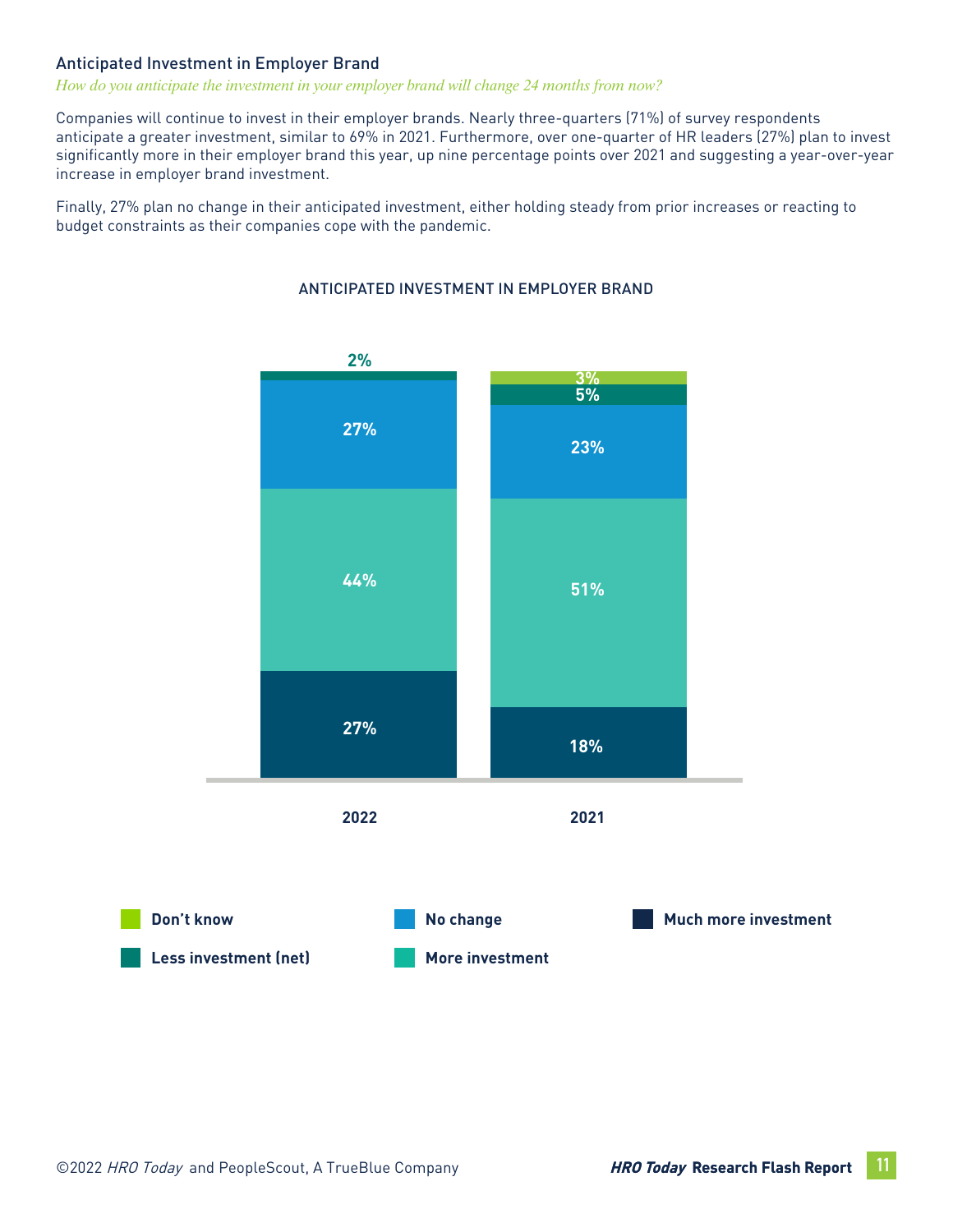#### Anticipated Investment in Employer Brand

#### *How do you anticipate the investment in your employer brand will change 24 months from now?*

Companies will continue to invest in their employer brands. Nearly three-quarters (71%) of survey respondents anticipate a greater investment, similar to 69% in 2021. Furthermore, over one-quarter of HR leaders (27%) plan to invest significantly more in their employer brand this year, up nine percentage points over 2021 and suggesting a year-over-year increase in employer brand investment.

Finally, 27% plan no change in their anticipated investment, either holding steady from prior increases or reacting to budget constraints as their companies cope with the pandemic.



#### ANTICIPATED INVESTMENT IN EMPLOYER BRAND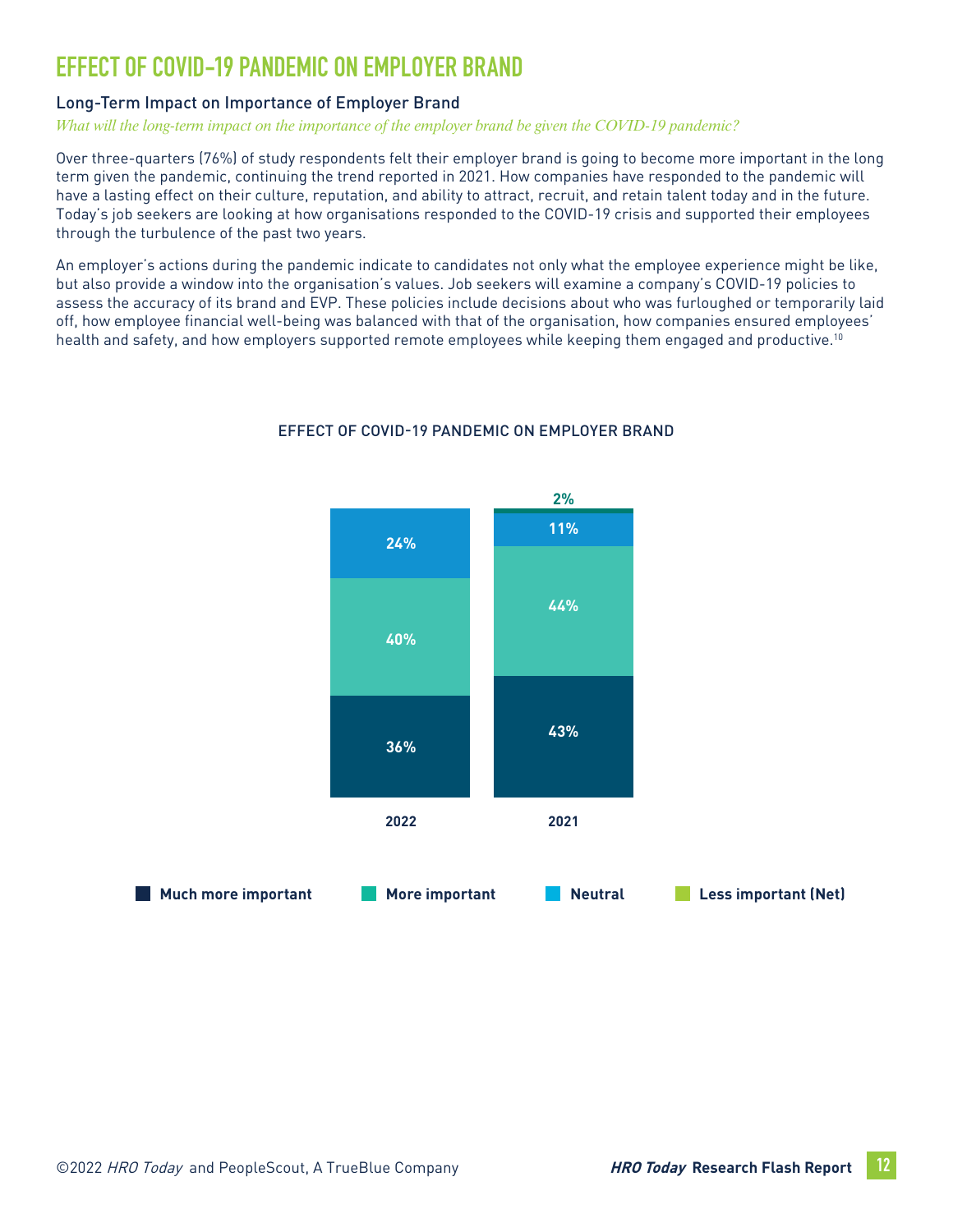# **EFFECT OF COVID-19 PANDEMIC ON EMPLOYER BRAND**

#### Long-Term Impact on Importance of Employer Brand

*What will the long-term impact on the importance of the employer brand be given the COVID-19 pandemic?* 

Over three-quarters (76%) of study respondents felt their employer brand is going to become more important in the long term given the pandemic, continuing the trend reported in 2021. How companies have responded to the pandemic will have a lasting effect on their culture, reputation, and ability to attract, recruit, and retain talent today and in the future. Today's job seekers are looking at how organisations responded to the COVID-19 crisis and supported their employees through the turbulence of the past two years.

An employer's actions during the pandemic indicate to candidates not only what the employee experience might be like, but also provide a window into the organisation's values. Job seekers will examine a company's COVID-19 policies to assess the accuracy of its brand and EVP. These policies include decisions about who was furloughed or temporarily laid off, how employee financial well-being was balanced with that of the organisation, how companies ensured employees' health and safety, and how employers supported remote employees while keeping them engaged and productive.<sup>10</sup>



#### EFFECT OF COVID-19 PANDEMIC ON EMPLOYER BRAND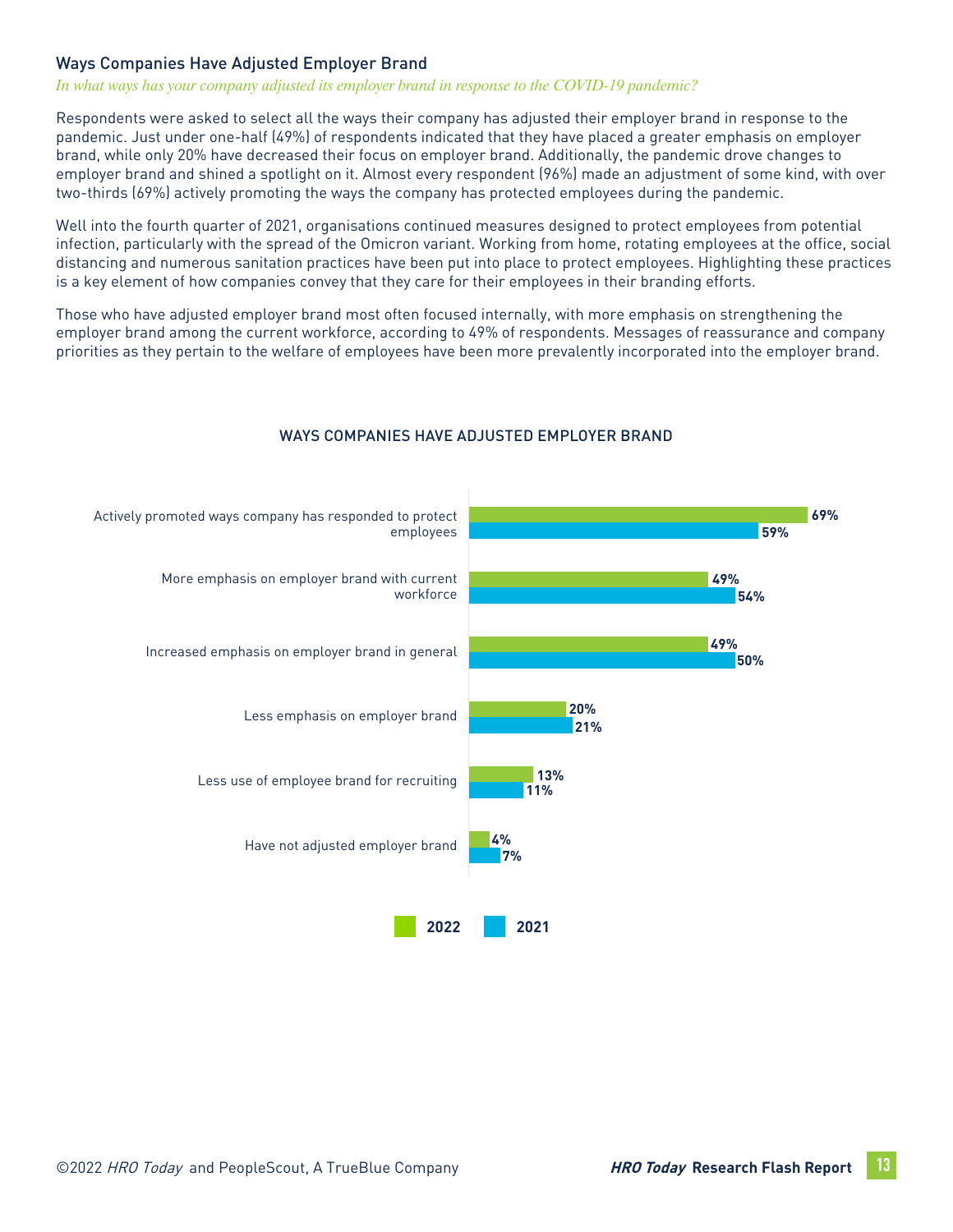#### Ways Companies Have Adjusted Employer Brand

#### *In what ways has your company adjusted its employer brand in response to the COVID-19 pandemic?*

Respondents were asked to select all the ways their company has adjusted their employer brand in response to the pandemic. Just under one-half (49%) of respondents indicated that they have placed a greater emphasis on employer brand, while only 20% have decreased their focus on employer brand. Additionally, the pandemic drove changes to employer brand and shined a spotlight on it. Almost every respondent (96%) made an adjustment of some kind, with over two-thirds (69%) actively promoting the ways the company has protected employees during the pandemic.

Well into the fourth quarter of 2021, organisations continued measures designed to protect employees from potential infection, particularly with the spread of the Omicron variant. Working from home, rotating employees at the office, social distancing and numerous sanitation practices have been put into place to protect employees. Highlighting these practices is a key element of how companies convey that they care for their employees in their branding efforts.

Those who have adjusted employer brand most often focused internally, with more emphasis on strengthening the employer brand among the current workforce, according to 49% of respondents. Messages of reassurance and company priorities as they pertain to the welfare of employees have been more prevalently incorporated into the employer brand.



#### WAYS COMPANIES HAVE ADJUSTED EMPLOYER BRAND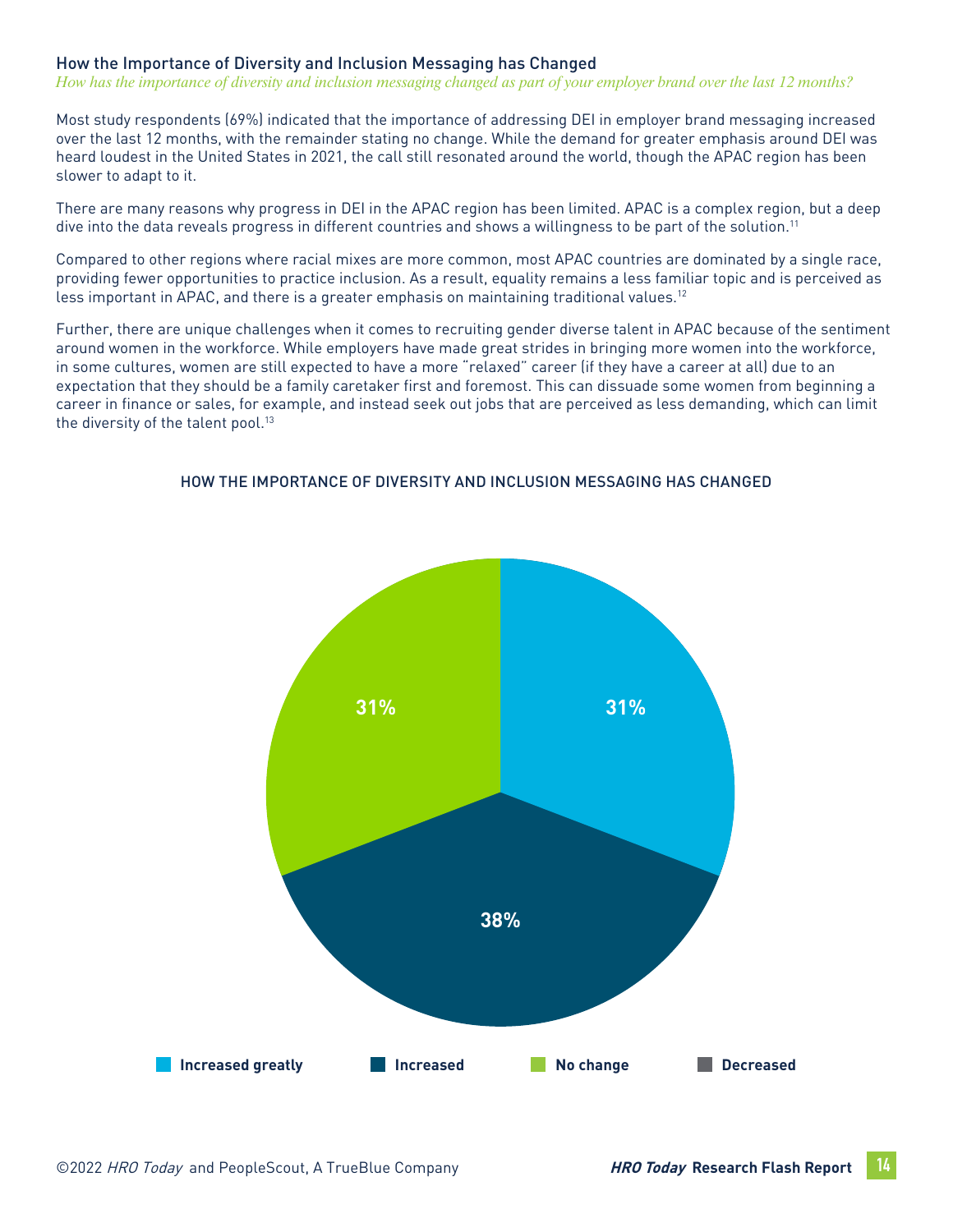#### How the Importance of Diversity and Inclusion Messaging has Changed

*How has the importance of diversity and inclusion messaging changed as part of your employer brand over the last 12 months?*

Most study respondents (69%) indicated that the importance of addressing DEI in employer brand messaging increased over the last 12 months, with the remainder stating no change. While the demand for greater emphasis around DEI was heard loudest in the United States in 2021, the call still resonated around the world, though the APAC region has been slower to adapt to it.

There are many reasons why progress in DEI in the APAC region has been limited. APAC is a complex region, but a deep dive into the data reveals progress in different countries and shows a willingness to be part of the solution.11

Compared to other regions where racial mixes are more common, most APAC countries are dominated by a single race, providing fewer opportunities to practice inclusion. As a result, equality remains a less familiar topic and is perceived as less important in APAC, and there is a greater emphasis on maintaining traditional values.12

Further, there are unique challenges when it comes to recruiting gender diverse talent in APAC because of the sentiment around women in the workforce. While employers have made great strides in bringing more women into the workforce, in some cultures, women are still expected to have a more "relaxed" career (if they have a career at all) due to an expectation that they should be a family caretaker first and foremost. This can dissuade some women from beginning a career in finance or sales, for example, and instead seek out jobs that are perceived as less demanding, which can limit the diversity of the talent pool.<sup>13</sup>



#### HOW THE IMPORTANCE OF DIVERSITY AND INCLUSION MESSAGING HAS CHANGED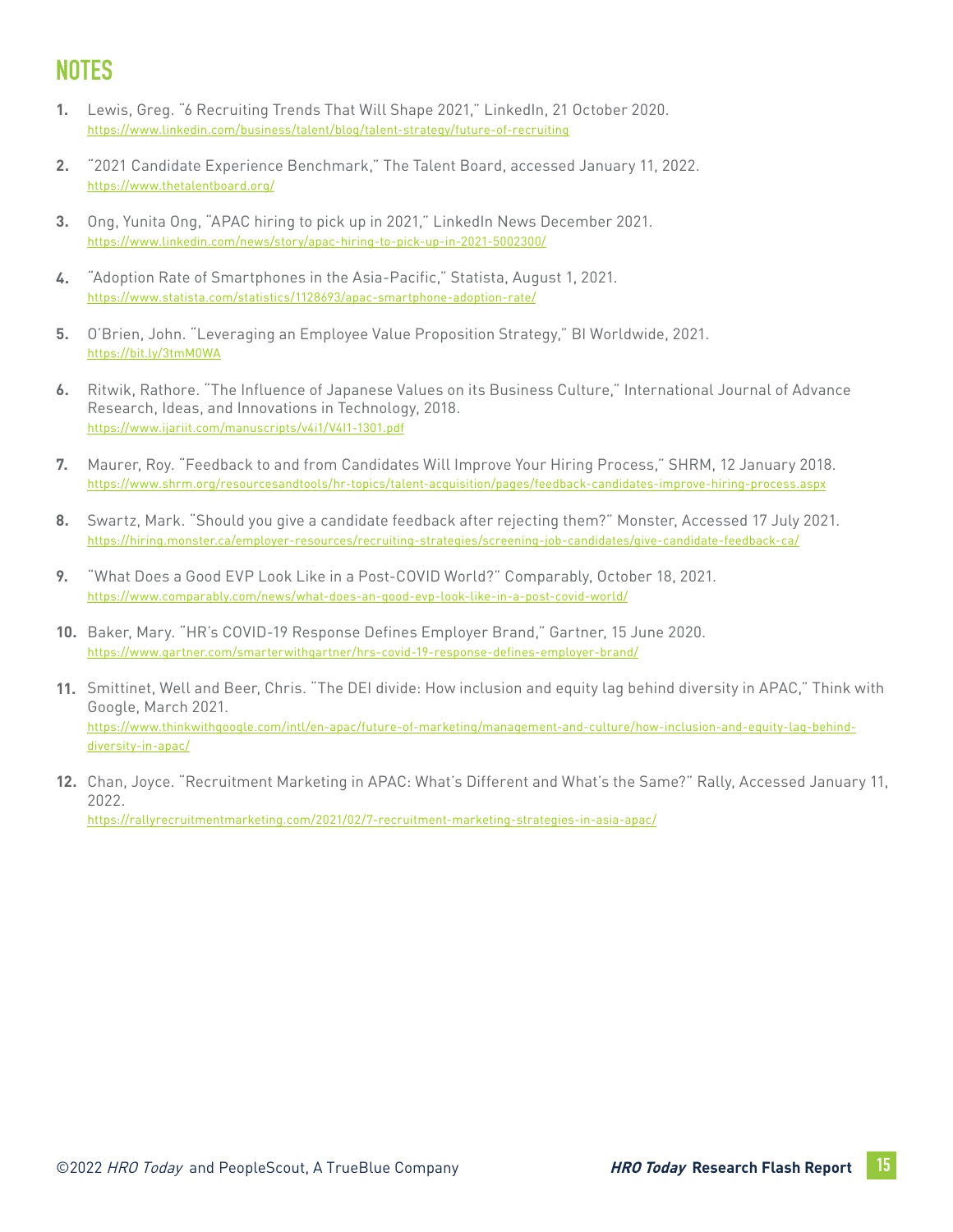# **NOTES**

- Lewis, Greg. "6 Recruiting Trends That Will Shape 2021," LinkedIn, 21 October 2020. <https://www.linkedin.com/business/talent/blog/talent-strategy/future-of-recruiting> **1.**
- "2021 Candidate Experience Benchmark," The Talent Board, accessed January 11, 2022. <https://www.thetalentboard.org/> **2.**
- Ong, Yunita Ong, "APAC hiring to pick up in 2021," LinkedIn News December 2021. <https://www.linkedin.com/news/story/apac-hiring-to-pick-up-in-2021-5002300/> **3.**
- "Adoption Rate of Smartphones in the Asia-Pacific," Statista, August 1, 2021. <https://www.statista.com/statistics/1128693/apac-smartphone-adoption-rate/> **4.**
- O'Brien, John. "Leveraging an Employee Value Proposition Strategy," BI Worldwide, 2021. **5.** <https://bit.ly/3tmM0WA>
- Ritwik, Rathore. "The Influence of Japanese Values on its Business Culture," International Journal of Advance Research, Ideas, and Innovations in Technology, 2018. <https://www.ijariit.com/manuscripts/v4i1/V4I1-1301.pdf> **6.**
- Maurer, Roy. "Feedback to and from Candidates Will Improve Your Hiring Process," SHRM, 12 January 2018. <https://www.shrm.org/resourcesandtools/hr-topics/talent-acquisition/pages/feedback-candidates-improve-hiring-process.aspx> **7.**
- Swartz, Mark. "Should you give a candidate feedback after rejecting them?" Monster, Accessed 17 July 2021. <https://hiring.monster.ca/employer-resources/recruiting-strategies/screening-job-candidates/give-candidate-feedback-ca/> **8.**
- "What Does a Good EVP Look Like in a Post-COVID World?" Comparably, October 18, 2021. <https://www.comparably.com/news/what-does-an-good-evp-look-like-in-a-post-covid-world/> **9.**
- Baker, Mary. "HR's COVID-19 Response Defines Employer Brand," Gartner, 15 June 2020. **10.** <https://www.gartner.com/smarterwithgartner/hrs-covid-19-response-defines-employer-brand/>
- 11. Smittinet, Well and Beer, Chris. "The DEI divide: How inclusion and equity lag behind diversity in APAC," Think with Google, March 2021. [https://www.thinkwithgoogle.com/intl/en-apac/future-of-marketing/management-and-culture/how-inclusion-and-equity-lag-behind](https://www.thinkwithgoogle.com/intl/en-apac/future-of-marketing/management-and-culture/how-inclusion-and-equity-lag-behind-diversity-in-apac/)[diversity-in-apac/](https://www.thinkwithgoogle.com/intl/en-apac/future-of-marketing/management-and-culture/how-inclusion-and-equity-lag-behind-diversity-in-apac/)
- Chan, Joyce. "Recruitment Marketing in APAC: What's Different and What's the Same?" Rally, Accessed January 11, **12.**2022. [https://rallyrecruitmentmarketing.com/2021/02/7-recruitment-marketing-strategies-in-asia-apac/](https://rallyrecruitmentmarketing.com/2021/02/7-recruitment-marketing-strategies-in-asia-apac/
)